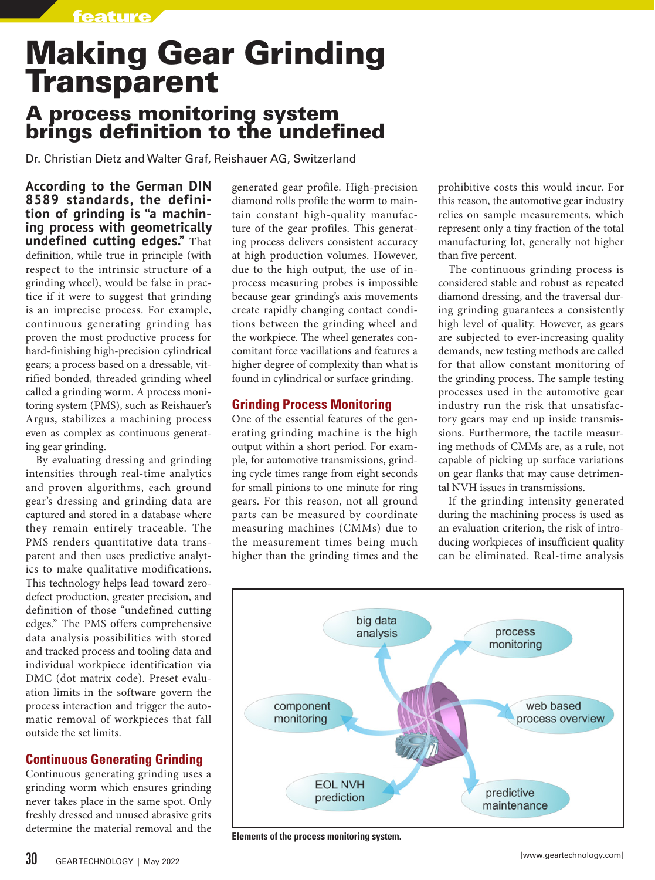feature

# Making Gear Grinding **Transparent** A process monitoring system

brings definition to the undefined

# Dr. Christian Dietz and Walter Graf, Reishauer AG, Switzerland

**According to the German DIN 8589 standards, the definition of grinding is "a machining process with geometrically undefined cutting edges."** That definition, while true in principle (with respect to the intrinsic structure of a grinding wheel), would be false in practice if it were to suggest that grinding is an imprecise process. For example, continuous generating grinding has proven the most productive process for hard-finishing high-precision cylindrical gears; a process based on a dressable, vitrified bonded, threaded grinding wheel called a grinding worm. A process monitoring system (PMS), such as Reishauer's Argus, stabilizes a machining process even as complex as continuous generating gear grinding.

By evaluating dressing and grinding intensities through real-time analytics and proven algorithms, each ground gear's dressing and grinding data are captured and stored in a database where they remain entirely traceable. The PMS renders quantitative data transparent and then uses predictive analytics to make qualitative modifications. This technology helps lead toward zerodefect production, greater precision, and definition of those "undefined cutting edges." The PMS offers comprehensive data analysis possibilities with stored and tracked process and tooling data and individual workpiece identification via DMC (dot matrix code). Preset evaluation limits in the software govern the process interaction and trigger the automatic removal of workpieces that fall outside the set limits.

## **Continuous Generating Grinding**

Continuous generating grinding uses a grinding worm which ensures grinding never takes place in the same spot. Only freshly dressed and unused abrasive grits determine the material removal and the generated gear profile. High-precision diamond rolls profile the worm to maintain constant high-quality manufacture of the gear profiles. This generating process delivers consistent accuracy at high production volumes. However, due to the high output, the use of inprocess measuring probes is impossible because gear grinding's axis movements create rapidly changing contact conditions between the grinding wheel and the workpiece. The wheel generates concomitant force vacillations and features a higher degree of complexity than what is found in cylindrical or surface grinding.

#### **Grinding Process Monitoring**

One of the essential features of the generating grinding machine is the high output within a short period. For example, for automotive transmissions, grinding cycle times range from eight seconds for small pinions to one minute for ring gears. For this reason, not all ground parts can be measured by coordinate measuring machines (CMMs) due to the measurement times being much higher than the grinding times and the prohibitive costs this would incur. For this reason, the automotive gear industry relies on sample measurements, which represent only a tiny fraction of the total manufacturing lot, generally not higher than five percent.

The continuous grinding process is considered stable and robust as repeated diamond dressing, and the traversal during grinding guarantees a consistently high level of quality. However, as gears are subjected to ever-increasing quality demands, new testing methods are called for that allow constant monitoring of the grinding process. The sample testing processes used in the automotive gear industry run the risk that unsatisfactory gears may end up inside transmissions. Furthermore, the tactile measuring methods of CMMs are, as a rule, not capable of picking up surface variations on gear flanks that may cause detrimental NVH issues in transmissions.

If the grinding intensity generated during the machining process is used as an evaluation criterion, the risk of introducing workpieces of insufficient quality can be eliminated. Real-time analysis



**Elements of the process monitoring system.**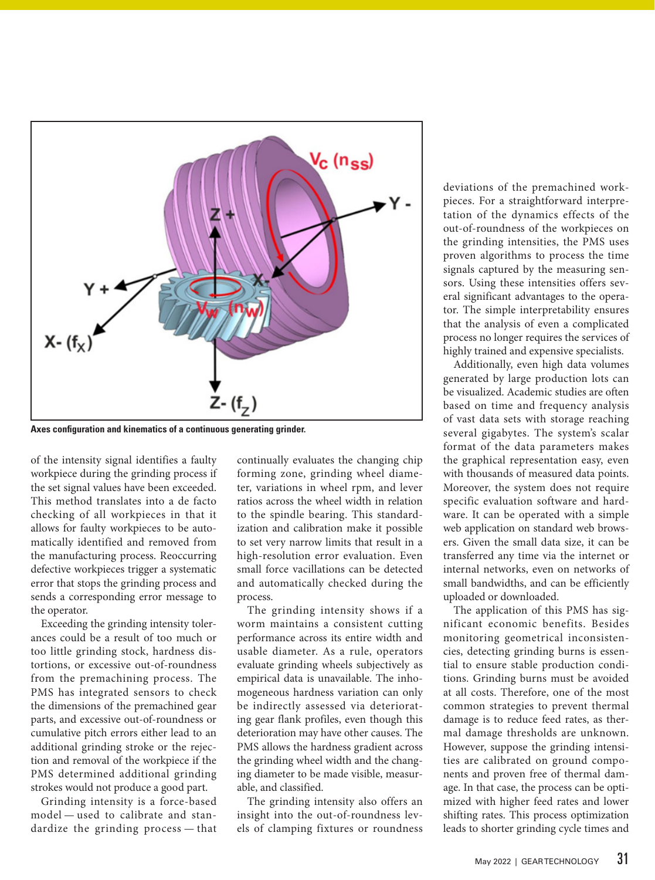

**Axes configuration and kinematics of a continuous generating grinder.**

of the intensity signal identifies a faulty workpiece during the grinding process if the set signal values have been exceeded. This method translates into a de facto checking of all workpieces in that it allows for faulty workpieces to be automatically identified and removed from the manufacturing process. Reoccurring defective workpieces trigger a systematic error that stops the grinding process and sends a corresponding error message to the operator.

Exceeding the grinding intensity tolerances could be a result of too much or too little grinding stock, hardness distortions, or excessive out-of-roundness from the premachining process. The PMS has integrated sensors to check the dimensions of the premachined gear parts, and excessive out-of-roundness or cumulative pitch errors either lead to an additional grinding stroke or the rejection and removal of the workpiece if the PMS determined additional grinding strokes would not produce a good part.

Grinding intensity is a force-based model — used to calibrate and standardize the grinding process — that

continually evaluates the changing chip forming zone, grinding wheel diameter, variations in wheel rpm, and lever ratios across the wheel width in relation to the spindle bearing. This standardization and calibration make it possible to set very narrow limits that result in a high-resolution error evaluation. Even small force vacillations can be detected and automatically checked during the process.

The grinding intensity shows if a worm maintains a consistent cutting performance across its entire width and usable diameter. As a rule, operators evaluate grinding wheels subjectively as empirical data is unavailable. The inhomogeneous hardness variation can only be indirectly assessed via deteriorating gear flank profiles, even though this deterioration may have other causes. The PMS allows the hardness gradient across the grinding wheel width and the changing diameter to be made visible, measurable, and classified.

The grinding intensity also offers an insight into the out-of-roundness levels of clamping fixtures or roundness deviations of the premachined workpieces. For a straightforward interpretation of the dynamics effects of the out-of-roundness of the workpieces on the grinding intensities, the PMS uses proven algorithms to process the time signals captured by the measuring sensors. Using these intensities offers several significant advantages to the operator. The simple interpretability ensures that the analysis of even a complicated process no longer requires the services of highly trained and expensive specialists.

Additionally, even high data volumes generated by large production lots can be visualized. Academic studies are often based on time and frequency analysis of vast data sets with storage reaching several gigabytes. The system's scalar format of the data parameters makes the graphical representation easy, even with thousands of measured data points. Moreover, the system does not require specific evaluation software and hardware. It can be operated with a simple web application on standard web browsers. Given the small data size, it can be transferred any time via the internet or internal networks, even on networks of small bandwidths, and can be efficiently uploaded or downloaded.

The application of this PMS has significant economic benefits. Besides monitoring geometrical inconsistencies, detecting grinding burns is essential to ensure stable production conditions. Grinding burns must be avoided at all costs. Therefore, one of the most common strategies to prevent thermal damage is to reduce feed rates, as thermal damage thresholds are unknown. However, suppose the grinding intensities are calibrated on ground components and proven free of thermal damage. In that case, the process can be optimized with higher feed rates and lower shifting rates. This process optimization leads to shorter grinding cycle times and